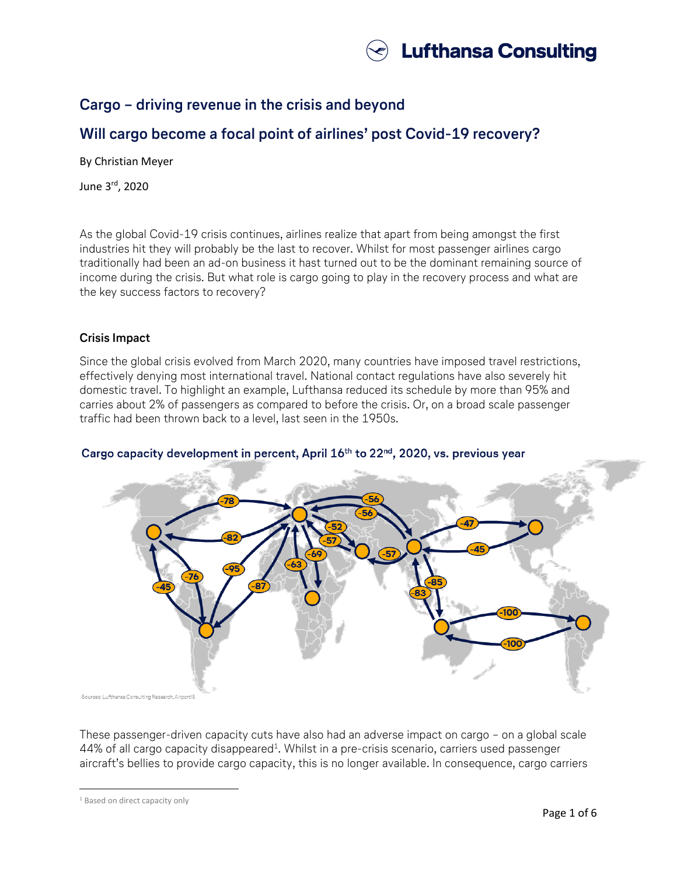

# **Cargo – driving revenue in the crisis and beyond**

# **Will cargo become a focal point of airlines' post Covid-19 recovery?**

By Christian Meyer

June 3rd, 2020

As the global Covid-19 crisis continues, airlines realize that apart from being amongst the first industries hit they will probably be the last to recover. Whilst for most passenger airlines cargo traditionally had been an ad-on business it hast turned out to be the dominant remaining source of income during the crisis. But what role is cargo going to play in the recovery process and what are the key success factors to recovery?

## **Crisis Impact**

Since the global crisis evolved from March 2020, many countries have imposed travel restrictions, effectively denying most international travel. National contact regulations have also severely hit domestic travel. To highlight an example, Lufthansa reduced its schedule by more than 95% and carries about 2% of passengers as compared to before the crisis. Or, on a broad scale passenger traffic had been thrown back to a level, last seen in the 1950s.



## Cargo capacity development in percent, April 16<sup>th</sup> to 22<sup>nd</sup>, 2020, vs. previous year

These passenger-driven capacity cuts have also had an adverse impact on cargo – on a global scale 44% of all cargo capacity disappeared $^1$ . Whilst in a pre-crisis scenario, carriers used passenger aircraft's bellies to provide cargo capacity, this is no longer available. In consequence, cargo carriers

 $\overline{a}$ 

<sup>&</sup>lt;sup>1</sup> Based on direct capacity only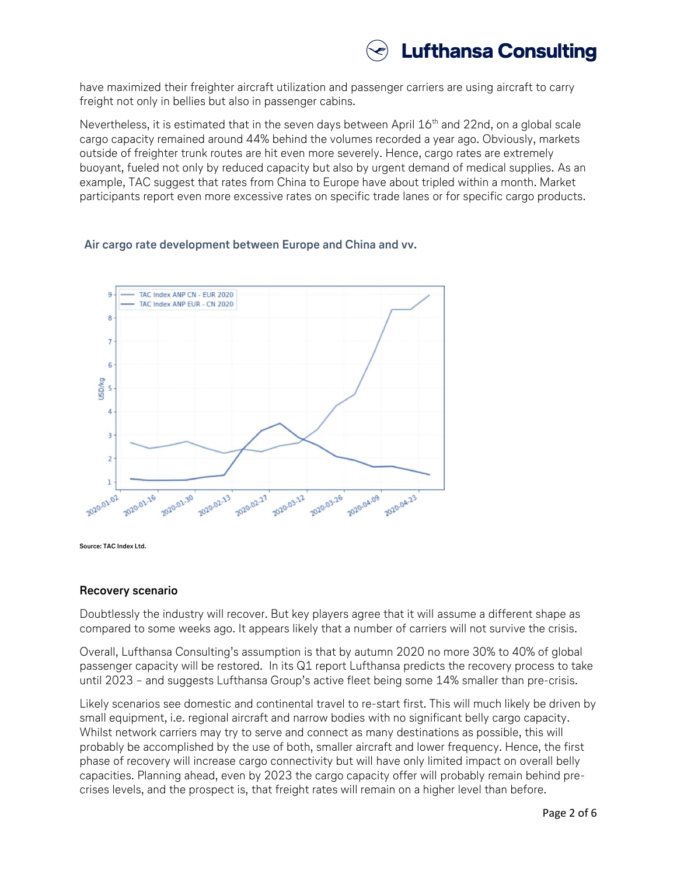

have maximized their freighter aircraft utilization and passenger carriers are using aircraft to carry freight not only in bellies but also in passenger cabins.

Nevertheless, it is estimated that in the seven days between April 16<sup>th</sup> and 22nd, on a global scale cargo capacity remained around 44% behind the volumes recorded a year ago. Obviously, markets outside of freighter trunk routes are hit even more severely. Hence, cargo rates are extremely buoyant, fueled not only by reduced capacity but also by urgent demand of medical supplies. As an example, TAC suggest that rates from China to Europe have about tripled within a month. Market participants report even more excessive rates on specific trade lanes or for specific cargo products.

#### **Air cargo rate development between Europe and China and vv.**



**Source: TAC Index Ltd.**

#### **Recovery scenario**

Doubtlessly the industry will recover. But key players agree that it will assume a different shape as compared to some weeks ago. It appears likely that a number of carriers will not survive the crisis.

Overall, Lufthansa Consulting's assumption is that by autumn 2020 no more 30% to 40% of global passenger capacity will be restored. In its Q1 report Lufthansa predicts the recovery process to take until 2023 – and suggests Lufthansa Group's active fleet being some 14% smaller than pre-crisis.

Likely scenarios see domestic and continental travel to re-start first. This will much likely be driven by small equipment, i.e. regional aircraft and narrow bodies with no significant belly cargo capacity. Whilst network carriers may try to serve and connect as many destinations as possible, this will probably be accomplished by the use of both, smaller aircraft and lower frequency. Hence, the first phase of recovery will increase cargo connectivity but will have only limited impact on overall belly capacities. Planning ahead, even by 2023 the cargo capacity offer will probably remain behind precrises levels, and the prospect is, that freight rates will remain on a higher level than before.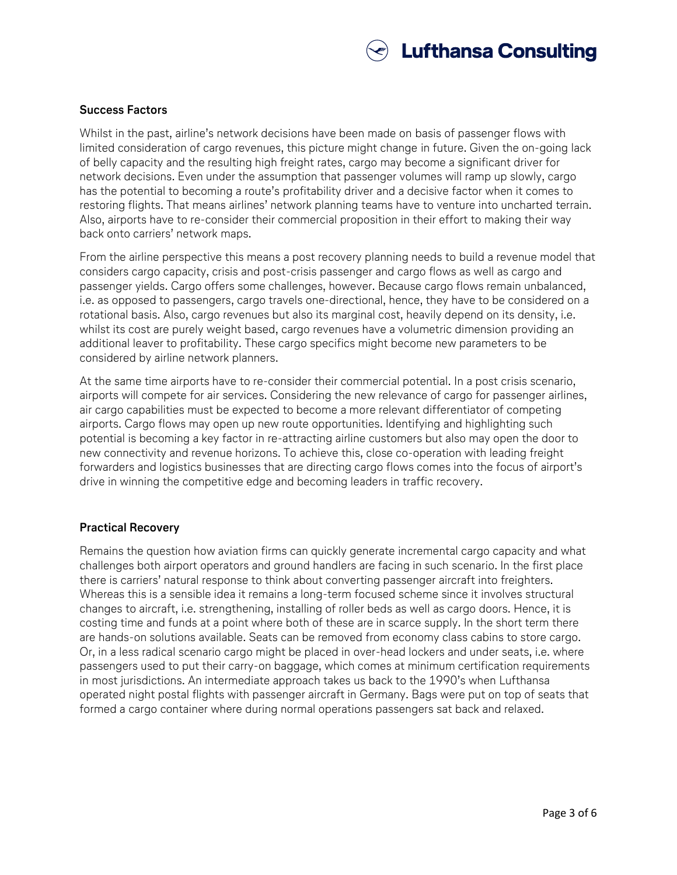

### **Success Factors**

Whilst in the past, airline's network decisions have been made on basis of passenger flows with limited consideration of cargo revenues, this picture might change in future. Given the on-going lack of belly capacity and the resulting high freight rates, cargo may become a significant driver for network decisions. Even under the assumption that passenger volumes will ramp up slowly, cargo has the potential to becoming a route's profitability driver and a decisive factor when it comes to restoring flights. That means airlines' network planning teams have to venture into uncharted terrain. Also, airports have to re-consider their commercial proposition in their effort to making their way back onto carriers' network maps.

From the airline perspective this means a post recovery planning needs to build a revenue model that considers cargo capacity, crisis and post-crisis passenger and cargo flows as well as cargo and passenger yields. Cargo offers some challenges, however. Because cargo flows remain unbalanced, i.e. as opposed to passengers, cargo travels one-directional, hence, they have to be considered on a rotational basis. Also, cargo revenues but also its marginal cost, heavily depend on its density, i.e. whilst its cost are purely weight based, cargo revenues have a volumetric dimension providing an additional leaver to profitability. These cargo specifics might become new parameters to be considered by airline network planners.

At the same time airports have to re-consider their commercial potential. In a post crisis scenario, airports will compete for air services. Considering the new relevance of cargo for passenger airlines, air cargo capabilities must be expected to become a more relevant differentiator of competing airports. Cargo flows may open up new route opportunities. Identifying and highlighting such potential is becoming a key factor in re-attracting airline customers but also may open the door to new connectivity and revenue horizons. To achieve this, close co-operation with leading freight forwarders and logistics businesses that are directing cargo flows comes into the focus of airport's drive in winning the competitive edge and becoming leaders in traffic recovery.

### **Practical Recovery**

Remains the question how aviation firms can quickly generate incremental cargo capacity and what challenges both airport operators and ground handlers are facing in such scenario. In the first place there is carriers' natural response to think about converting passenger aircraft into freighters. Whereas this is a sensible idea it remains a long-term focused scheme since it involves structural changes to aircraft, i.e. strengthening, installing of roller beds as well as cargo doors. Hence, it is costing time and funds at a point where both of these are in scarce supply. In the short term there are hands-on solutions available. Seats can be removed from economy class cabins to store cargo. Or, in a less radical scenario cargo might be placed in over-head lockers and under seats, i.e. where passengers used to put their carry-on baggage, which comes at minimum certification requirements in most jurisdictions. An intermediate approach takes us back to the 1990's when Lufthansa operated night postal flights with passenger aircraft in Germany. Bags were put on top of seats that formed a cargo container where during normal operations passengers sat back and relaxed.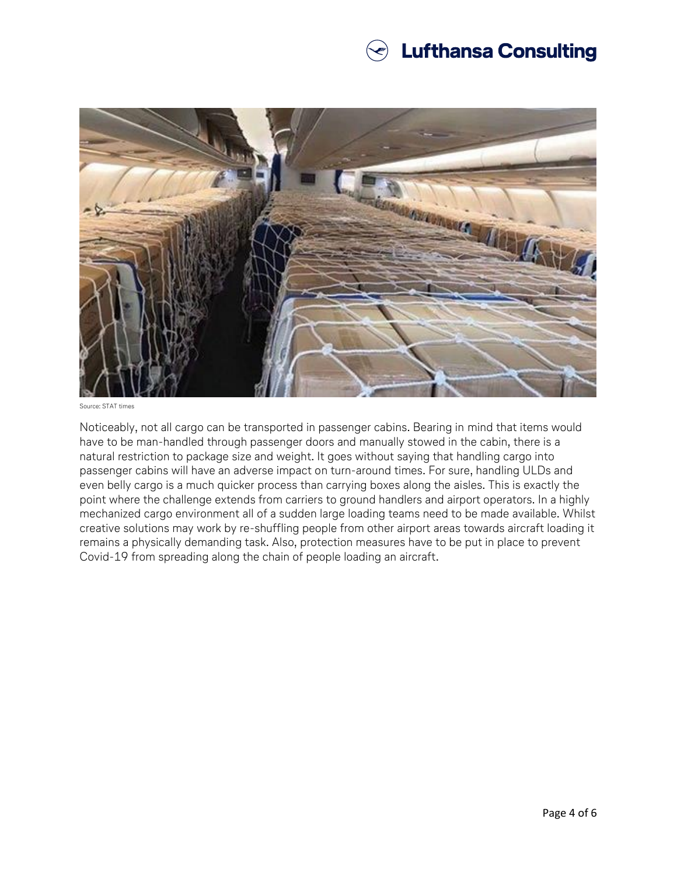# $\textcircledast$  Lufthansa Consulting



Source: STAT times

Noticeably, not all cargo can be transported in passenger cabins. Bearing in mind that items would have to be man-handled through passenger doors and manually stowed in the cabin, there is a natural restriction to package size and weight. It goes without saying that handling cargo into passenger cabins will have an adverse impact on turn-around times. For sure, handling ULDs and even belly cargo is a much quicker process than carrying boxes along the aisles. This is exactly the point where the challenge extends from carriers to ground handlers and airport operators. In a highly mechanized cargo environment all of a sudden large loading teams need to be made available. Whilst creative solutions may work by re-shuffling people from other airport areas towards aircraft loading it remains a physically demanding task. Also, protection measures have to be put in place to prevent Covid-19 from spreading along the chain of people loading an aircraft.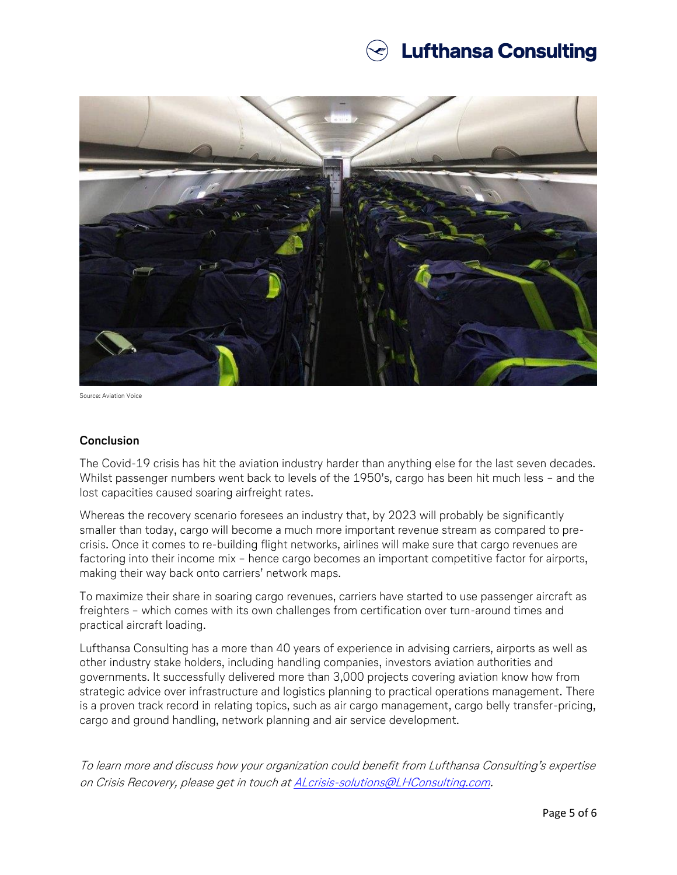# **Lufthansa Consulting**



Source: Aviation Voice

### **Conclusion**

The Covid-19 crisis has hit the aviation industry harder than anything else for the last seven decades. Whilst passenger numbers went back to levels of the 1950's, cargo has been hit much less – and the lost capacities caused soaring airfreight rates.

Whereas the recovery scenario foresees an industry that, by 2023 will probably be significantly smaller than today, cargo will become a much more important revenue stream as compared to precrisis. Once it comes to re-building flight networks, airlines will make sure that cargo revenues are factoring into their income mix – hence cargo becomes an important competitive factor for airports, making their way back onto carriers' network maps.

To maximize their share in soaring cargo revenues, carriers have started to use passenger aircraft as freighters – which comes with its own challenges from certification over turn-around times and practical aircraft loading.

Lufthansa Consulting has a more than 40 years of experience in advising carriers, airports as well as other industry stake holders, including handling companies, investors aviation authorities and governments. It successfully delivered more than 3,000 projects covering aviation know how from strategic advice over infrastructure and logistics planning to practical operations management. There is a proven track record in relating topics, such as air cargo management, cargo belly transfer-pricing, cargo and ground handling, network planning and air service development.

To learn more and discuss how your organization could benefit from Lufthansa Consulting's expertise on Crisis Recovery, please get in touch at **ALcrisis-solutions@LHConsulting.com**.